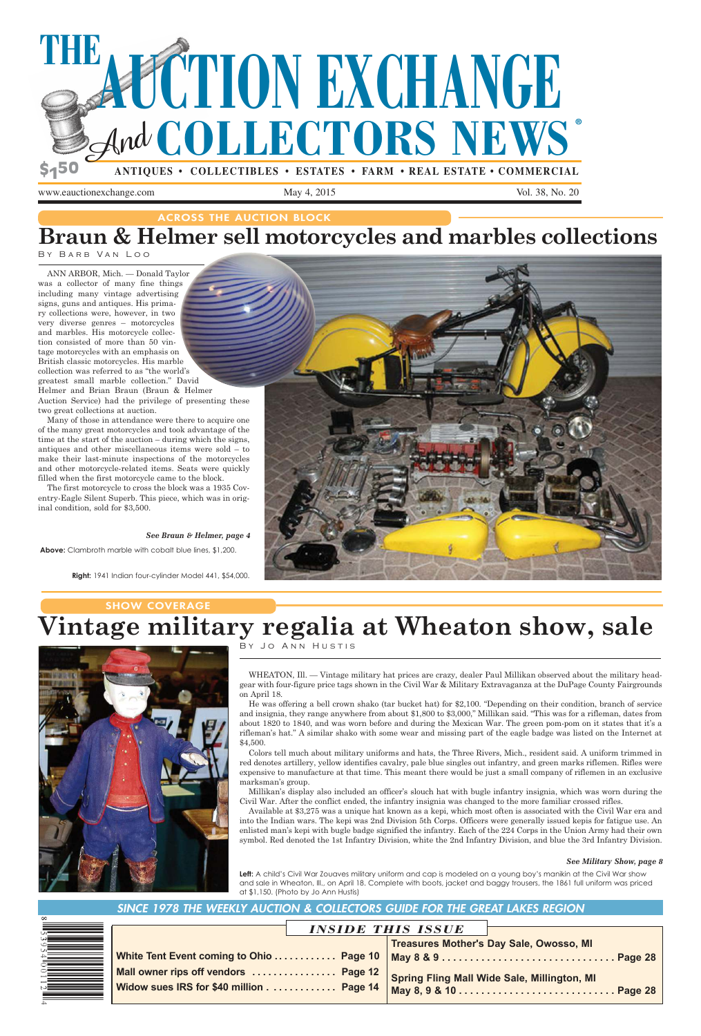

www.eauctionexchange.com May 4, 2015 Vol. 38, No. 20

|                                         | <b>INSIDE THIS ISSUE</b>                                                           |
|-----------------------------------------|------------------------------------------------------------------------------------|
|                                         | <b>Treasures Mother's Day Sale, Owosso, MI</b>                                     |
|                                         | White Tent Event coming to Ohio …………. Page 10 $\,$ May 8 & 9 ………………………………. Page 28 |
| Mall owner rips off vendors  Page 12    | Spring Fling Mall Wide Sale, Millington, MI                                        |
| Widow sues IRS for \$40 million Page 14 |                                                                                    |
|                                         |                                                                                    |

ACROSS THE AUCTION BLOCK

# **Braun & Helmer sell motorcycles and marbles collections**

By Barb Van Loo

ANN ARBOR, Mich. — Donald Taylor was a collector of many fine things including many vintage advertising signs, guns and antiques. His primary collections were, however, in two very diverse genres – motorcycles and marbles. His motorcycle collection consisted of more than 50 vintage motorcycles with an emphasis on British classic motorcycles. His marble collection was referred to as "the world's greatest small marble collection." David Helmer and Brian Braun (Braun & Helmer Auction Service) had the privilege of presenting these two great collections at auction.

## SHOW COVERAGE **Vintage military regalia at Wheaton show, sale**

Many of those in attendance were there to acquire one of the many great motorcycles and took advantage of the time at the start of the auction – during which the signs, antiques and other miscellaneous items were sold – to make their last-minute inspections of the motorcycles and other motorcycle-related items. Seats were quickly filled when the first motorcycle came to the block.

The first motorcycle to cross the block was a 1935 Coventry-Eagle Silent Superb. This piece, which was in original condition, sold for \$3,500.

### *See Braun & Helmer, page 4*

By Jo Ann Hustis

WHEATON, Ill. — Vintage military hat prices are crazy, dealer Paul Millikan observed about the military headgear with four-figure price tags shown in the Civil War & Military Extravaganza at the DuPage County Fairgrounds on April 18.

Left: A child's Civil War Zouaves military uniform and cap is modeled on a young boy's manikin at the Civil War show and sale in Wheaton, Ill., on April 18. Complete with boots, jacket and baggy trousers, the 1861 full uniform was priced at \$1,150. (Photo by Jo Ann Hustis)

He was offering a bell crown shako (tar bucket hat) for \$2,100. "Depending on their condition, branch of service and insignia, they range anywhere from about \$1,800 to \$3,000," Millikan said. "This was for a rifleman, dates from about 1820 to 1840, and was worn before and during the Mexican War. The green pom-pom on it states that it's a rifleman's hat." A similar shako with some wear and missing part of the eagle badge was listed on the Internet at \$4,500.

Colors tell much about military uniforms and hats, the Three Rivers, Mich., resident said. A uniform trimmed in red denotes artillery, yellow identifies cavalry, pale blue singles out infantry, and green marks riflemen. Rifles were expensive to manufacture at that time. This meant there would be just a small company of riflemen in an exclusive marksman's group.



Millikan's display also included an officer's slouch hat with bugle infantry insignia, which was worn during the Civil War. After the conflict ended, the infantry insignia was changed to the more familiar crossed rifles.

Available at \$3,275 was a unique hat known as a kepi, which most often is associated with the Civil War era and into the Indian wars. The kepi was 2nd Division 5th Corps. Officers were generally issued kepis for fatigue use. An enlisted man's kepi with bugle badge signified the infantry. Each of the 224 Corps in the Union Army had their own symbol. Red denoted the 1st Infantry Division, white the 2nd Infantry Division, and blue the 3rd Infantry Division.

#### *See Military Show, page 8*

### SINCE 1978 THE WEEKLY AUCTION & COLLECTORS GUIDE FOR THE GREAT LAKES REGION

| <b>White</b>  |
|---------------|
|               |
| <b>Mall o</b> |
| <b>Wido</b>   |
|               |
|               |

**Right:** 1941 Indian four-cylinder Model 441, \$54,000.



**Above:** Clambroth marble with cobalt blue lines, \$1,200.